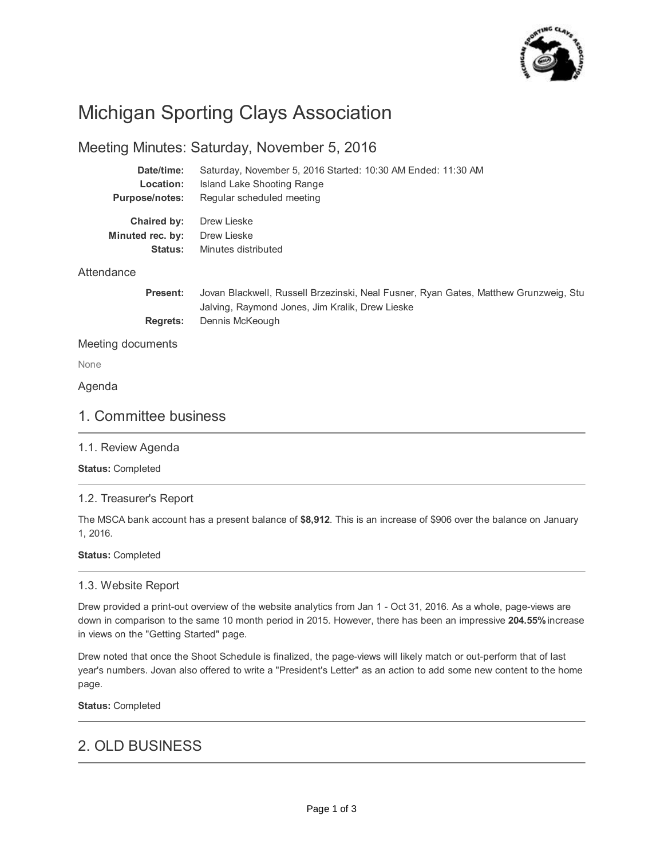

# Michigan Sporting Clays Association

# Meeting Minutes: Saturday, November 5, 2016

| Date/time:            | Saturday, November 5, 2016 Started: 10:30 AM Ended: 11:30 AM                         |
|-----------------------|--------------------------------------------------------------------------------------|
| Location:             | Island Lake Shooting Range                                                           |
| <b>Purpose/notes:</b> | Regular scheduled meeting                                                            |
| Chaired by:           | Drew Lieske                                                                          |
| Minuted rec. by:      | Drew Lieske                                                                          |
| <b>Status:</b>        | Minutes distributed                                                                  |
| Attendance            |                                                                                      |
| <b>Present:</b>       | Jovan Blackwell, Russell Brzezinski, Neal Fusner, Ryan Gates, Matthew Grunzweig, Stu |
|                       | Jalving, Raymond Jones, Jim Kralik, Drew Lieske                                      |

**Regrets:** Dennis McKeough

Meeting documents

None

Agenda

# 1. Committee business

## 1.1. Review Agenda

**Status:** Completed

## 1.2. Treasurer's Report

The MSCA bank account has a present balance of **\$8,912**. This is an increase of \$906 over the balance on January 1, 2016.

## **Status:** Completed

## 1.3. Website Report

Drew provided a print-out overview of the website analytics from Jan 1 - Oct 31, 2016. As a whole, page-views are down in comparison to the same 10 month period in 2015. However, there has been an impressive **204.55%** increase in views on the "Getting Started" page.

Drew noted that once the Shoot Schedule is finalized, the page-views will likely match or out-perform that of last year's numbers. Jovan also offered to write a "President's Letter" as an action to add some new content to the home page.

**Status:** Completed

# 2. OLD BUSINESS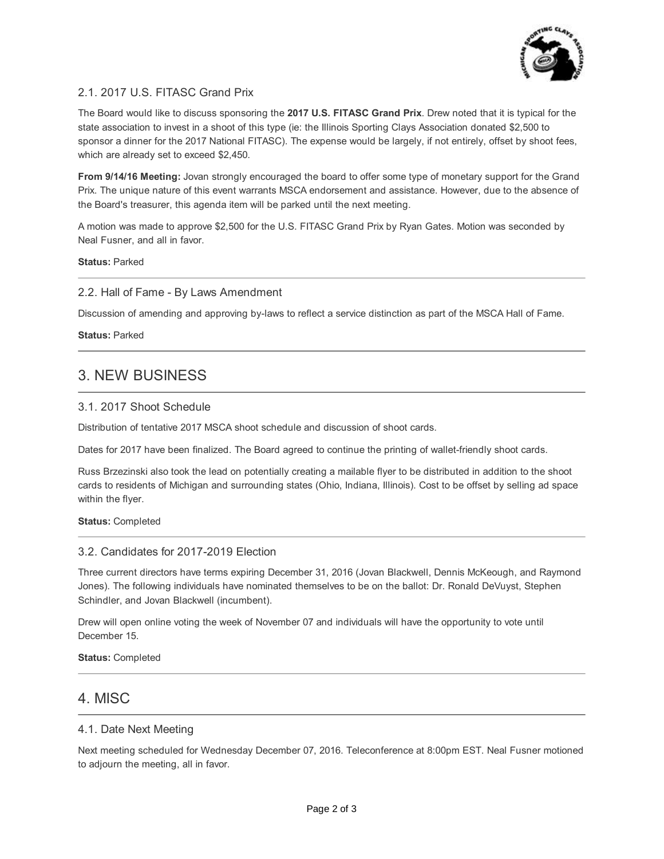

# 2.1. 2017 U.S. FITASC Grand Prix

The Board would like to discuss sponsoring the **2017 U.S. FITASC Grand Prix**. Drew noted that it is typical for the state association to invest in a shoot of this type (ie: the Illinois Sporting Clays Association donated \$2,500 to sponsor a dinner for the 2017 National FITASC). The expense would be largely, if not entirely, offset by shoot fees, which are already set to exceed \$2,450.

**From 9/14/16 Meeting:** Jovan strongly encouraged the board to offer some type of monetary support for the Grand Prix. The unique nature of this event warrants MSCA endorsement and assistance. However, due to the absence of the Board's treasurer, this agenda item will be parked until the next meeting.

A motion was made to approve \$2,500 for the U.S. FITASC Grand Prix by Ryan Gates. Motion was seconded by Neal Fusner, and all in favor.

**Status:** Parked

## 2.2. Hall of Fame - By Laws Amendment

Discussion of amending and approving by-laws to reflect a service distinction as part of the MSCA Hall of Fame.

**Status:** Parked

# 3. NEW BUSINESS

## 3.1. 2017 Shoot Schedule

Distribution of tentative 2017 MSCA shoot schedule and discussion of shoot cards.

Dates for 2017 have been finalized. The Board agreed to continue the printing of wallet-friendly shoot cards.

Russ Brzezinski also took the lead on potentially creating a mailable flyer to be distributed in addition to the shoot cards to residents of Michigan and surrounding states (Ohio, Indiana, Illinois). Cost to be offset by selling ad space within the flyer.

#### **Status:** Completed

## 3.2. Candidates for 2017-2019 Election

Three current directors have terms expiring December 31, 2016 (Jovan Blackwell, Dennis McKeough, and Raymond Jones). The following individuals have nominated themselves to be on the ballot: Dr. Ronald DeVuyst, Stephen Schindler, and Jovan Blackwell (incumbent).

Drew will open online voting the week of November 07 and individuals will have the opportunity to vote until December 15.

**Status:** Completed

# 4. MISC

## 4.1. Date Next Meeting

Next meeting scheduled for Wednesday December 07, 2016. Teleconference at 8:00pm EST. Neal Fusner motioned to adjourn the meeting, all in favor.